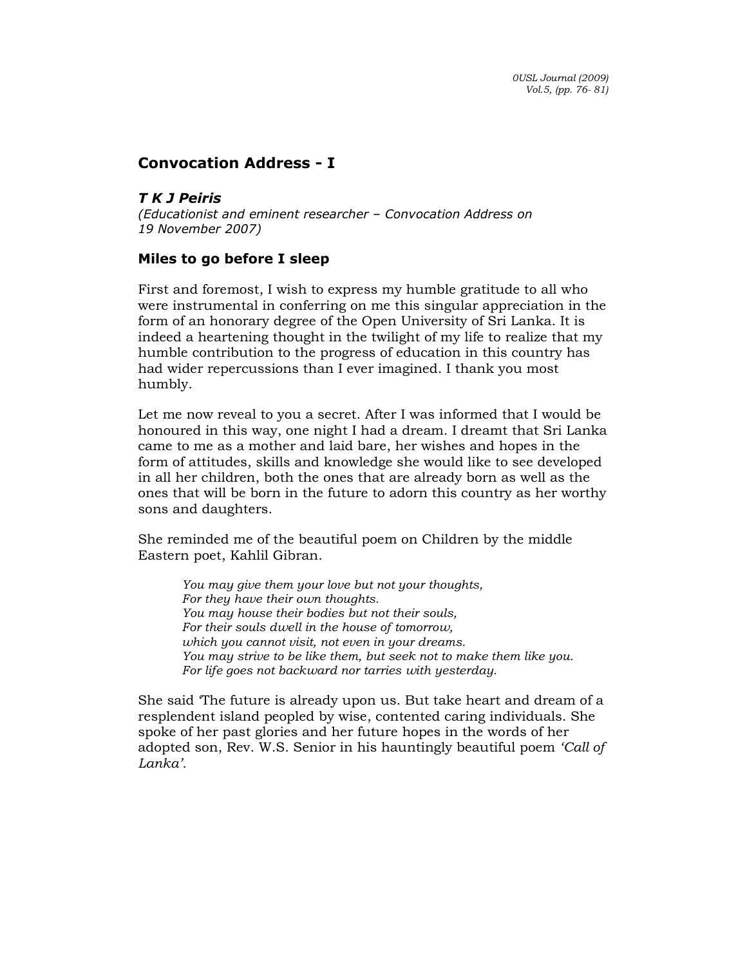## Convocation Address - I

T K J Peiris

(Educationist and eminent researcher – Convocation Address on 19 November 2007)

## Miles to go before I sleep

First and foremost, I wish to express my humble gratitude to all who were instrumental in conferring on me this singular appreciation in the form of an honorary degree of the Open University of Sri Lanka. It is indeed a heartening thought in the twilight of my life to realize that my humble contribution to the progress of education in this country has had wider repercussions than I ever imagined. I thank you most humbly.

Let me now reveal to you a secret. After I was informed that I would be honoured in this way, one night I had a dream. I dreamt that Sri Lanka came to me as a mother and laid bare, her wishes and hopes in the form of attitudes, skills and knowledge she would like to see developed in all her children, both the ones that are already born as well as the ones that will be born in the future to adorn this country as her worthy sons and daughters.

She reminded me of the beautiful poem on Children by the middle Eastern poet, Kahlil Gibran.

You may give them your love but not your thoughts, For they have their own thoughts. You may house their bodies but not their souls, For their souls dwell in the house of tomorrow, which you cannot visit, not even in your dreams. You may strive to be like them, but seek not to make them like you. For life goes not backward nor tarries with yesterday.

She said 'The future is already upon us. But take heart and dream of a resplendent island peopled by wise, contented caring individuals. She spoke of her past glories and her future hopes in the words of her adopted son, Rev. W.S. Senior in his hauntingly beautiful poem 'Call of Lanka'.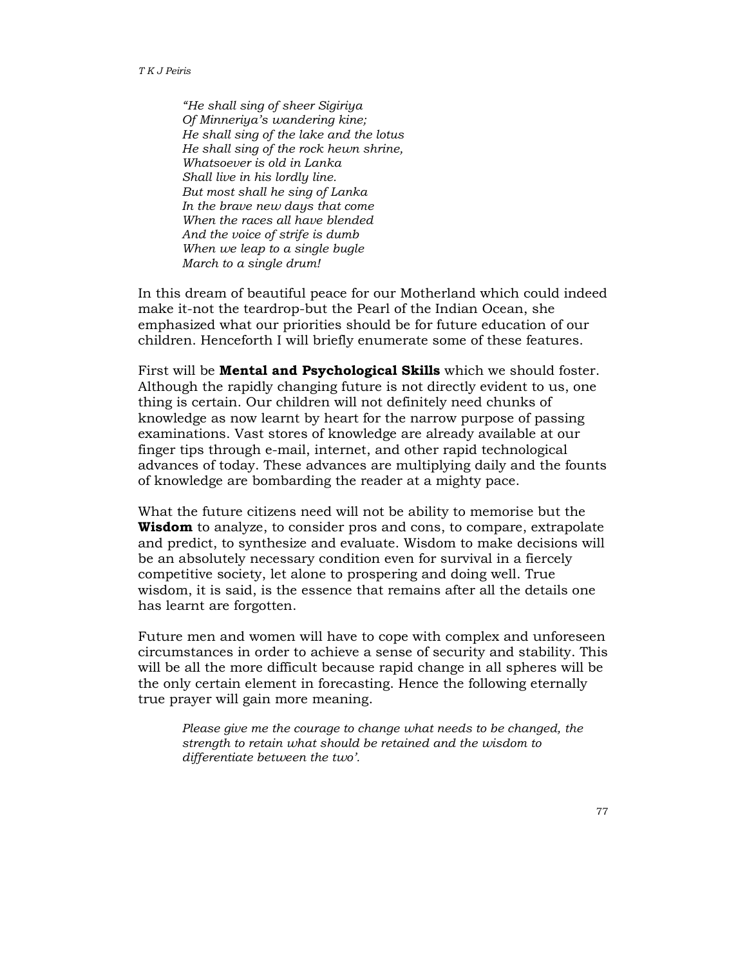"He shall sing of sheer Sigiriya Of Minneriya's wandering kine; He shall sing of the lake and the lotus He shall sing of the rock hewn shrine, Whatsoever is old in Lanka Shall live in his lordly line. But most shall he sing of Lanka In the brave new days that come When the races all have blended And the voice of strife is dumb When we leap to a single bugle March to a single drum!

In this dream of beautiful peace for our Motherland which could indeed make it-not the teardrop-but the Pearl of the Indian Ocean, she emphasized what our priorities should be for future education of our children. Henceforth I will briefly enumerate some of these features.

First will be **Mental and Psychological Skills** which we should foster. Although the rapidly changing future is not directly evident to us, one thing is certain. Our children will not definitely need chunks of knowledge as now learnt by heart for the narrow purpose of passing examinations. Vast stores of knowledge are already available at our finger tips through e-mail, internet, and other rapid technological advances of today. These advances are multiplying daily and the founts of knowledge are bombarding the reader at a mighty pace.

What the future citizens need will not be ability to memorise but the **Wisdom** to analyze, to consider pros and cons, to compare, extrapolate and predict, to synthesize and evaluate. Wisdom to make decisions will be an absolutely necessary condition even for survival in a fiercely competitive society, let alone to prospering and doing well. True wisdom, it is said, is the essence that remains after all the details one has learnt are forgotten.

Future men and women will have to cope with complex and unforeseen circumstances in order to achieve a sense of security and stability. This will be all the more difficult because rapid change in all spheres will be the only certain element in forecasting. Hence the following eternally true prayer will gain more meaning.

Please give me the courage to change what needs to be changed, the strength to retain what should be retained and the wisdom to differentiate between the two'.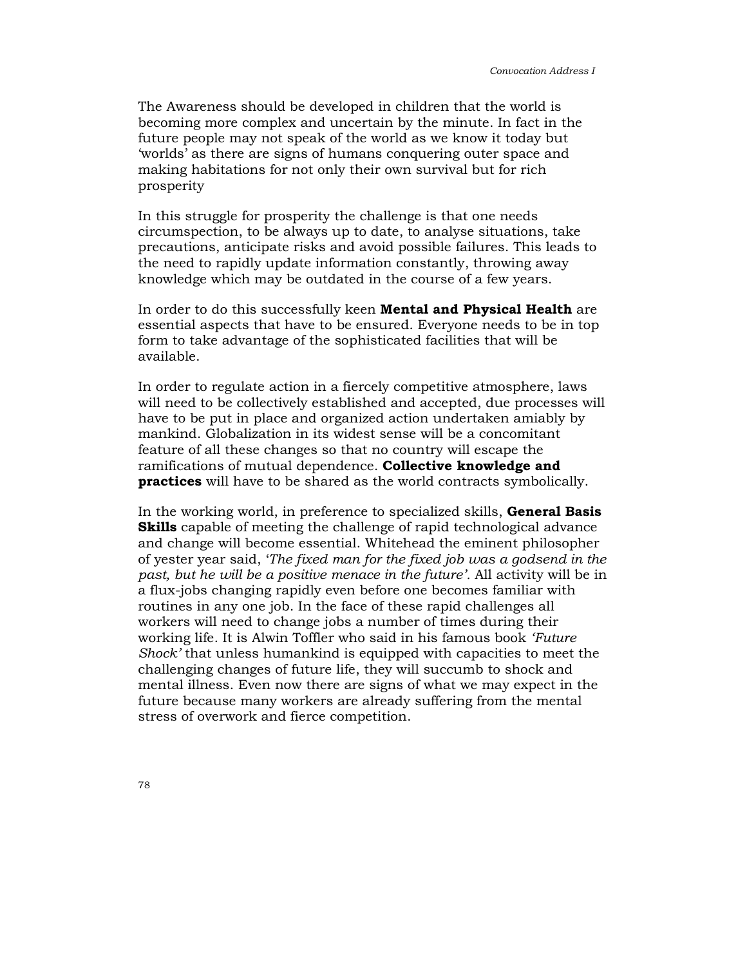The Awareness should be developed in children that the world is becoming more complex and uncertain by the minute. In fact in the future people may not speak of the world as we know it today but 'worlds' as there are signs of humans conquering outer space and making habitations for not only their own survival but for rich prosperity

In this struggle for prosperity the challenge is that one needs circumspection, to be always up to date, to analyse situations, take precautions, anticipate risks and avoid possible failures. This leads to the need to rapidly update information constantly, throwing away knowledge which may be outdated in the course of a few years.

In order to do this successfully keen **Mental and Physical Health** are essential aspects that have to be ensured. Everyone needs to be in top form to take advantage of the sophisticated facilities that will be available.

In order to regulate action in a fiercely competitive atmosphere, laws will need to be collectively established and accepted, due processes will have to be put in place and organized action undertaken amiably by mankind. Globalization in its widest sense will be a concomitant feature of all these changes so that no country will escape the ramifications of mutual dependence. Collective knowledge and practices will have to be shared as the world contracts symbolically.

In the working world, in preference to specialized skills, **General Basis Skills** capable of meeting the challenge of rapid technological advance and change will become essential. Whitehead the eminent philosopher of yester year said, 'The fixed man for the fixed job was a godsend in the past, but he will be a positive menace in the future'. All activity will be in a flux-jobs changing rapidly even before one becomes familiar with routines in any one job. In the face of these rapid challenges all workers will need to change jobs a number of times during their working life. It is Alwin Toffler who said in his famous book 'Future Shock' that unless humankind is equipped with capacities to meet the challenging changes of future life, they will succumb to shock and mental illness. Even now there are signs of what we may expect in the future because many workers are already suffering from the mental stress of overwork and fierce competition.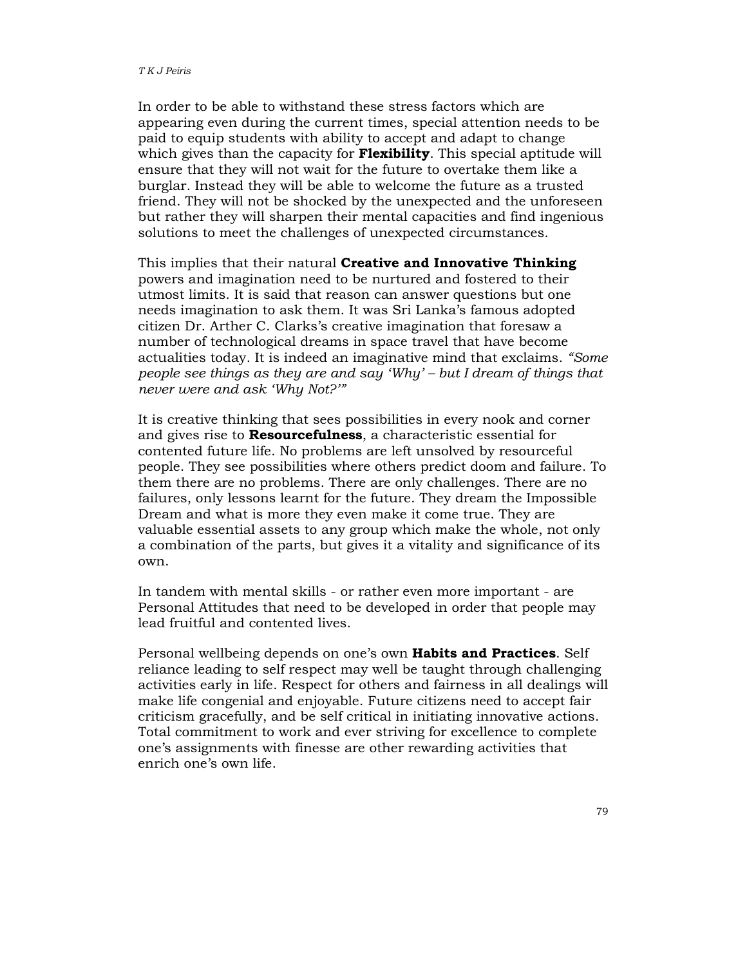In order to be able to withstand these stress factors which are appearing even during the current times, special attention needs to be paid to equip students with ability to accept and adapt to change which gives than the capacity for **Flexibility**. This special aptitude will ensure that they will not wait for the future to overtake them like a burglar. Instead they will be able to welcome the future as a trusted friend. They will not be shocked by the unexpected and the unforeseen but rather they will sharpen their mental capacities and find ingenious solutions to meet the challenges of unexpected circumstances.

This implies that their natural **Creative and Innovative Thinking** powers and imagination need to be nurtured and fostered to their utmost limits. It is said that reason can answer questions but one needs imagination to ask them. It was Sri Lanka's famous adopted citizen Dr. Arther C. Clarks's creative imagination that foresaw a number of technological dreams in space travel that have become actualities today. It is indeed an imaginative mind that exclaims. "Some people see things as they are and say 'Why' – but I dream of things that never were and ask 'Why Not?'"

It is creative thinking that sees possibilities in every nook and corner and gives rise to Resourcefulness, a characteristic essential for contented future life. No problems are left unsolved by resourceful people. They see possibilities where others predict doom and failure. To them there are no problems. There are only challenges. There are no failures, only lessons learnt for the future. They dream the Impossible Dream and what is more they even make it come true. They are valuable essential assets to any group which make the whole, not only a combination of the parts, but gives it a vitality and significance of its own.

In tandem with mental skills - or rather even more important - are Personal Attitudes that need to be developed in order that people may lead fruitful and contented lives.

Personal wellbeing depends on one's own Habits and Practices. Self reliance leading to self respect may well be taught through challenging activities early in life. Respect for others and fairness in all dealings will make life congenial and enjoyable. Future citizens need to accept fair criticism gracefully, and be self critical in initiating innovative actions. Total commitment to work and ever striving for excellence to complete one's assignments with finesse are other rewarding activities that enrich one's own life.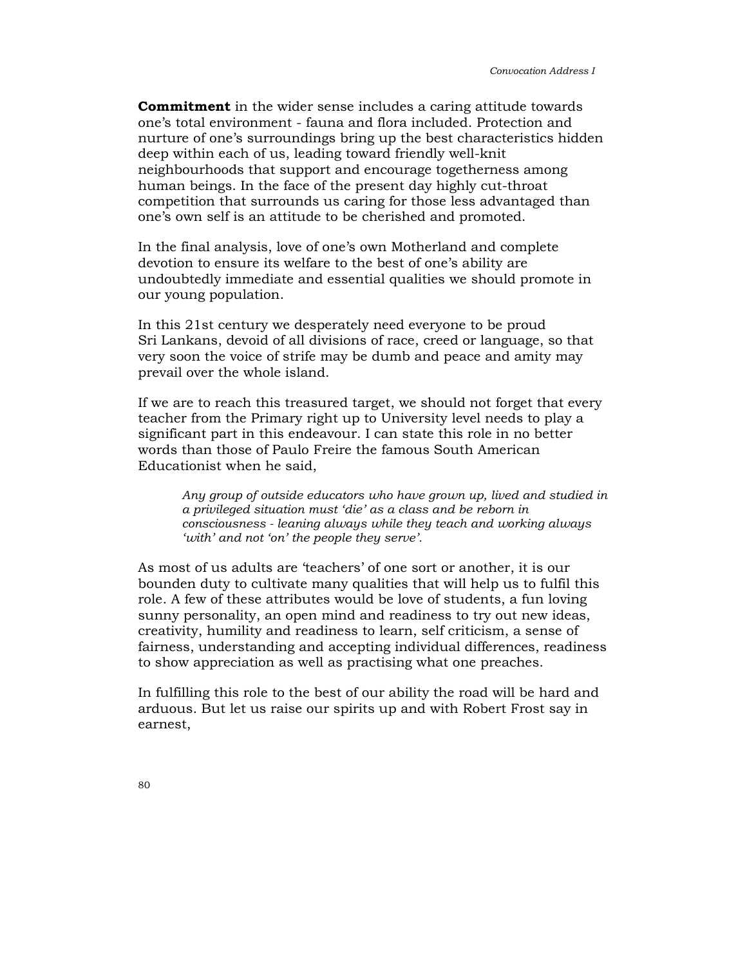Commitment in the wider sense includes a caring attitude towards one's total environment - fauna and flora included. Protection and nurture of one's surroundings bring up the best characteristics hidden deep within each of us, leading toward friendly well-knit neighbourhoods that support and encourage togetherness among human beings. In the face of the present day highly cut-throat competition that surrounds us caring for those less advantaged than one's own self is an attitude to be cherished and promoted.

In the final analysis, love of one's own Motherland and complete devotion to ensure its welfare to the best of one's ability are undoubtedly immediate and essential qualities we should promote in our young population.

In this 21st century we desperately need everyone to be proud Sri Lankans, devoid of all divisions of race, creed or language, so that very soon the voice of strife may be dumb and peace and amity may prevail over the whole island.

If we are to reach this treasured target, we should not forget that every teacher from the Primary right up to University level needs to play a significant part in this endeavour. I can state this role in no better words than those of Paulo Freire the famous South American Educationist when he said,

Any group of outside educators who have grown up, lived and studied in a privileged situation must 'die' as a class and be reborn in consciousness - leaning always while they teach and working always 'with' and not 'on' the people they serve'.

As most of us adults are 'teachers' of one sort or another, it is our bounden duty to cultivate many qualities that will help us to fulfil this role. A few of these attributes would be love of students, a fun loving sunny personality, an open mind and readiness to try out new ideas, creativity, humility and readiness to learn, self criticism, a sense of fairness, understanding and accepting individual differences, readiness to show appreciation as well as practising what one preaches.

In fulfilling this role to the best of our ability the road will be hard and arduous. But let us raise our spirits up and with Robert Frost say in earnest,